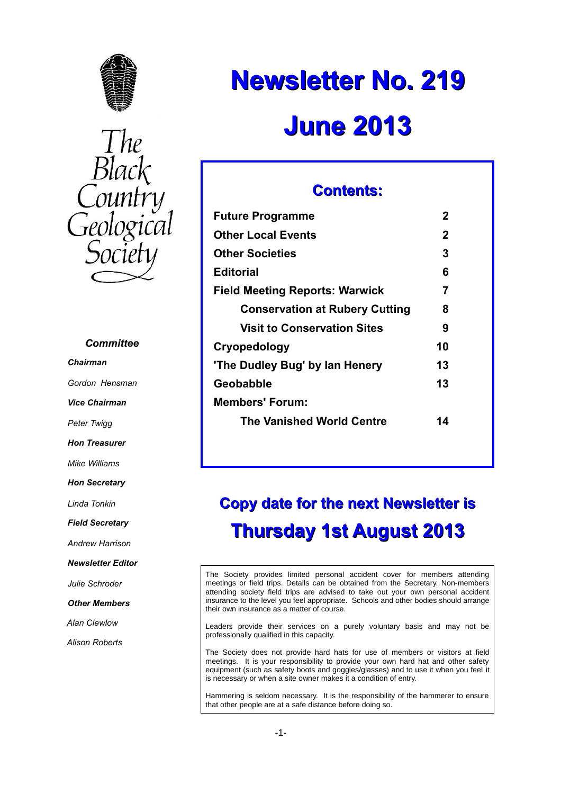



## *Committee*

*Chairman*

*Gordon Hensman*

*Vice Chairman*

*Peter Twigg*

*Hon Treasurer*

*Mike Williams*

*Hon Secretary*

*Linda Tonkin*

*Field Secretary*

*Andrew Harrison*

*Newsletter Editor*

*Julie Schroder*

*Other Members*

*Alan Clewlow*

*Alison Roberts*

# **Newsletter No. 219 June 2013**

## **Contents:**

| 2  |
|----|
| 2  |
| 3  |
| 6  |
| 7  |
| 8  |
| 9  |
| 10 |
| 13 |
| 13 |
|    |
|    |
|    |

## **Copy date for the next Newsletter is Thursday 1st August 2013**

The Society provides limited personal accident cover for members attending meetings or field trips. Details can be obtained from the Secretary. Non-members attending society field trips are advised to take out your own personal accident insurance to the level you feel appropriate. Schools and other bodies should arrange their own insurance as a matter of course.

Leaders provide their services on a purely voluntary basis and may not be professionally qualified in this capacity.

The Society does not provide hard hats for use of members or visitors at field meetings. It is your responsibility to provide your own hard hat and other safety equipment (such as safety boots and goggles/glasses) and to use it when you feel it is necessary or when a site owner makes it a condition of entry.

Hammering is seldom necessary. It is the responsibility of the hammerer to ensure that other people are at a safe distance before doing so.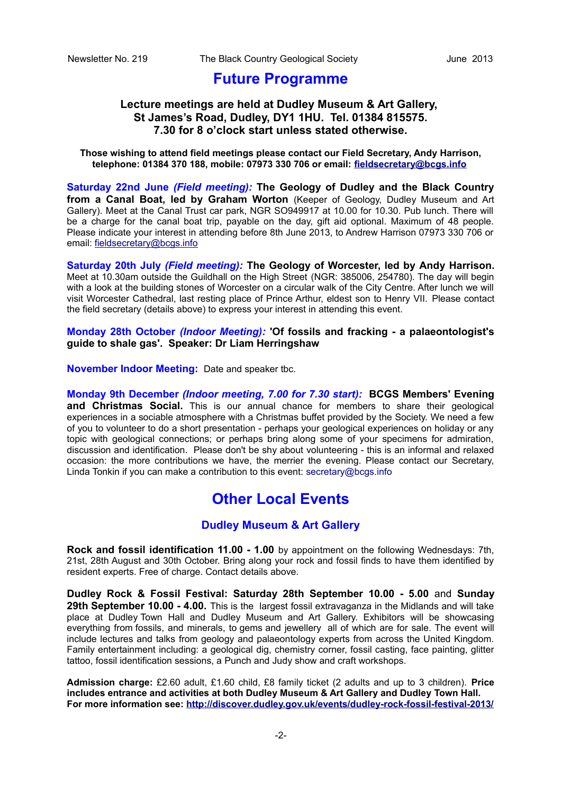## **Future Programme**

#### **Lecture meetings are held at Dudley Museum & Art Gallery, St James's Road, Dudley, DY1 1HU. Tel. 01384 815575. 7.30 for 8 o'clock start unless stated otherwise.**

#### **Those wishing to attend field meetings please contact our Field Secretary, Andy Harrison, telephone: 01384 370 188, mobile: 07973 330 706 or email: [fieldsecretary@bcgs.info](mailto:fieldsecretary@bcgs.info)**

**Saturday 22nd June** *(Field meeting):* **The Geology of Dudley and the Black Country from a Canal Boat, led by Graham Worton** (Keeper of Geology, Dudley Museum and Art Gallery). Meet at the Canal Trust car park, NGR SO949917 at 10.00 for 10.30. Pub lunch. There will be a charge for the canal boat trip, payable on the day, gift aid optional. Maximum of 48 people. Please indicate your interest in attending before 8th June 2013, to Andrew Harrison 07973 330 706 or email: [fieldsecretary@bcgs.info](mailto:fieldsecretary@bcgs.info)

**Saturday 20th July** *(Field meeting):* **The Geology of Worcester, led by Andy Harrison.** Meet at 10.30am outside the Guildhall on the High Street (NGR: 385006, 254780). The day will begin with a look at the building stones of Worcester on a circular walk of the City Centre. After lunch we will visit Worcester Cathedral, last resting place of Prince Arthur, eldest son to Henry VII. Please contact the field secretary (details above) to express your interest in attending this event.

#### **Monday 28th October** *(Indoor Meeting):* **'Of fossils and fracking - a palaeontologist's guide to shale gas'. Speaker: Dr Liam Herringshaw**

**November Indoor Meeting:** Date and speaker tbc.

**Monday 9th December** *(Indoor meeting, 7.00 for 7.30 start):* **BCGS Members' Evening and Christmas Social.** This is our annual chance for members to share their geological experiences in a sociable atmosphere with a Christmas buffet provided by the Society. We need a few of you to volunteer to do a short presentation - perhaps your geological experiences on holiday or any topic with geological connections; or perhaps bring along some of your specimens for admiration, discussion and identification. Please don't be shy about volunteering - this is an informal and relaxed occasion: the more contributions we have, the merrier the evening. Please contact our Secretary, Linda Tonkin if you can make a contribution to this event: [secretary@bcgs.info](mailto:secretary@bcgs.info)

## **Other Local Events**

#### **Dudley Museum & Art Gallery**

**Rock and fossil identification 11.00 - 1.00** by appointment on the following Wednesdays: 7th, 21st, 28th August and 30th October. Bring along your rock and fossil finds to have them identified by resident experts. Free of charge. Contact details above.

**Dudley Rock & Fossil Festival: Saturday 28th September 10.00 - 5.00** and **Sunday 29th September 10.00 - 4.00.** This is the largest fossil extravaganza in the Midlands and will take place at Dudley Town Hall and Dudley Museum and Art Gallery. Exhibitors will be showcasing everything from fossils, and minerals, to gems and jewellery all of which are for sale. The event will include lectures and talks from geology and palaeontology experts from across the United Kingdom. Family entertainment including: a geological dig, chemistry corner, fossil casting, face painting, glitter tattoo, fossil identification sessions, a Punch and Judy show and craft workshops.

**Admission charge:** £2.60 adult, £1.60 child, £8 family ticket (2 adults and up to 3 children). **Price includes entrance and activities at both Dudley Museum & Art Gallery and Dudley Town Hall. For more information see:<http://discover.dudley.gov.uk/events/dudley-rock-fossil-festival-2013/>**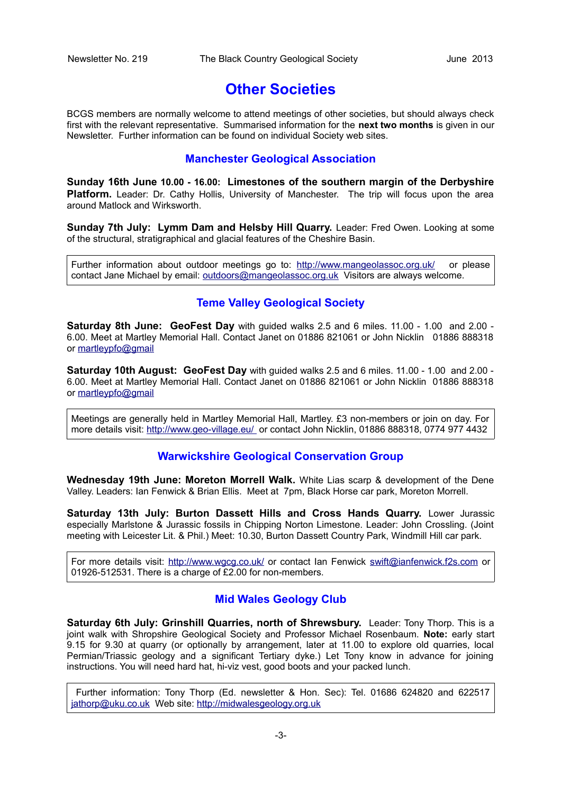## **Other Societies**

BCGS members are normally welcome to attend meetings of other societies, but should always check first with the relevant representative. Summarised information for the **next two months** is given in our Newsletter. Further information can be found on individual Society web sites.

#### **Manchester Geological Association**

**Sunday 16th June 10.00 - 16.00: Limestones of the southern margin of the Derbyshire Platform.** Leader: Dr. Cathy Hollis, University of Manchester. The trip will focus upon the area around Matlock and Wirksworth.

**Sunday 7th July: Lymm Dam and Helsby Hill Quarry.** Leader: Fred Owen. Looking at some of the structural, stratigraphical and glacial features of the Cheshire Basin.

Further information about outdoor meetings go to:<http://www.mangeolassoc.org.uk/>or please contact Jane Michael by email: [outdoors@mangeolassoc.org.uk](mailto:outdoors@mangeolassoc.org.uk) Visitors are always welcome.

#### **Teme Valley Geological Society**

**Saturday 8th June: GeoFest Day** with quided walks 2.5 and 6 miles. 11.00 - 1.00 and 2.00 -6.00. Meet at Martley Memorial Hall. Contact Janet on 01886 821061 or John Nicklin 01886 888318 or [martleypfo@gmail](mailto:martleypfo@gmail)

**Saturday 10th August: GeoFest Day** with guided walks 2.5 and 6 miles. 11.00 - 1.00 and 2.00 - 6.00. Meet at Martley Memorial Hall. Contact Janet on 01886 821061 or John Nicklin 01886 888318 or [martleypfo@gmail](mailto:martleypfo@gmail)

Meetings are generally held in Martley Memorial Hall, Martley. £3 non-members or join on day. For more details visit: [http://www.geo-village.eu/](http://www.geo-village.eu/%20) or contact John Nicklin, 01886 888318, 0774 977 4432

#### **Warwickshire Geological Conservation Group**

**Wednesday 19th June: Moreton Morrell Walk.** White Lias scarp & development of the Dene Valley. Leaders: Ian Fenwick & Brian Ellis. Meet at 7pm, Black Horse car park, Moreton Morrell.

**Saturday 13th July: Burton Dassett Hills and Cross Hands Quarry.** Lower Jurassic especially Marlstone & Jurassic fossils in Chipping Norton Limestone. Leader: John Crossling. (Joint meeting with Leicester Lit. & Phil.) Meet: 10.30, Burton Dassett Country Park, Windmill Hill car park.

For more details visit:<http://www.wgcg.co.uk/>or contact Ian Fenwick [swift@ianfenwick.f2s.com](mailto:swift@ianfenwick.f2s.com) or 01926-512531. There is a charge of £2.00 for non-members.

#### **Mid Wales Geology Club**

**Saturday 6th July: Grinshill Quarries, north of Shrewsbury.** Leader: Tony Thorp. This is a joint walk with Shropshire Geological Society and Professor Michael Rosenbaum. **Note:** early start 9.15 for 9.30 at quarry (or optionally by arrangement, later at 11.00 to explore old quarries, local Permian/Triassic geology and a significant Tertiary dyke.) Let Tony know in advance for joining instructions. You will need hard hat, hi-viz vest, good boots and your packed lunch.

 Further information: Tony Thorp (Ed. newsletter & Hon. Sec): Tel. 01686 624820 and 622517 [jathorp@uku.co.uk](mailto:jathorp@uku.co.uk) Web site: [http://midwalesgeology.org.uk](http://midwalesgeology.org.uk/)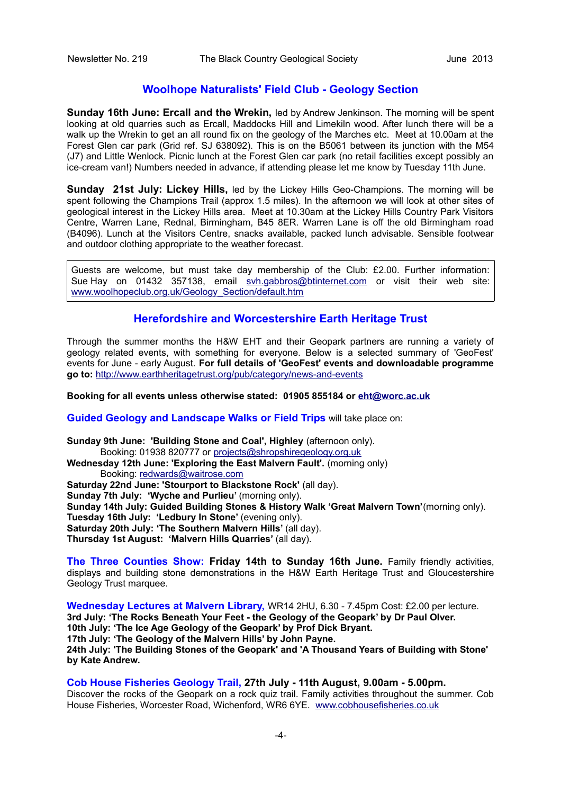#### **Woolhope Naturalists' Field Club - Geology Section**

**Sunday 16th June: Ercall and the Wrekin,** led by Andrew Jenkinson. The morning will be spent looking at old quarries such as Ercall, Maddocks Hill and Limekiln wood. After lunch there will be a walk up the Wrekin to get an all round fix on the geology of the Marches etc. Meet at 10.00am at the Forest Glen car park (Grid ref. SJ 638092). This is on the B5061 between its junction with the M54 (J7) and Little Wenlock. Picnic lunch at the Forest Glen car park (no retail facilities except possibly an ice-cream van!) Numbers needed in advance, if attending please let me know by Tuesday 11th June.

**Sunday 21st July: Lickey Hills,** led by the Lickey Hills Geo-Champions. The morning will be spent following the Champions Trail (approx 1.5 miles). In the afternoon we will look at other sites of geological interest in the Lickey Hills area. Meet at 10.30am at the Lickey Hills Country Park Visitors Centre, Warren Lane, Rednal, Birmingham, B45 8ER. Warren Lane is off the old Birmingham road (B4096). Lunch at the Visitors Centre, snacks available, packed lunch advisable. Sensible footwear and outdoor clothing appropriate to the weather forecast.

Guests are welcome, but must take day membership of the Club: £2.00. Further information: Sue Hay on 01432 357138, email [svh.gabbros@btinternet.com](mailto:svh.gabbros@btinternet.com) or visit their web site: [www.woolhopeclub.org.uk/Geology\\_Section/default.htm](http://www.woolhopeclub.org.uk/Geology_Section/default.htm)

#### **Herefordshire and Worcestershire Earth Heritage Trust**

Through the summer months the H&W EHT and their Geopark partners are running a variety of geology related events, with something for everyone. Below is a selected summary of 'GeoFest' events for June - early August. **For full details of 'GeoFest' events and downloadable programme go to:** <http://www.earthheritagetrust.org/pub/category/news-and-events>

**Booking for all events unless otherwise stated: 01905 855184 or [eht@worc.ac.uk](mailto:eht@worc.ac.uk)**

**Guided Geology and Landscape Walks or Field Trips** will take place on:

**Sunday 9th June: 'Building Stone and Coal', Highley** (afternoon only). Booking: 01938 820777 or [projects@shropshiregeology.org.uk](mailto:projects@shropshiregeology.org.uk) **Wednesday 12th June: 'Exploring the East Malvern Fault'.** (morning only) Booking: [redwards@waitrose.com](mailto:redwards@waitrose.com) **Saturday 22nd June: 'Stourport to Blackstone Rock'** (all day). **Sunday 7th July: 'Wyche and Purlieu' (morning only). Sunday 14th July: Guided Building Stones & History Walk 'Great Malvern Town'**(morning only). Tuesday 16th July: 'Ledbury In Stone' (evening only). **Saturday 20th July: 'The Southern Malvern Hills'** (all day). **Thursday 1st August: 'Malvern Hills Quarries'** (all day).

**The Three Counties Show: Friday 14th to Sunday 16th June.** Family friendly activities, displays and building stone demonstrations in the H&W Earth Heritage Trust and Gloucestershire Geology Trust marquee.

**Wednesday Lectures at Malvern Library,** WR14 2HU, 6.30 - 7.45pm Cost: £2.00 per lecture. **3rd July: 'The Rocks Beneath Your Feet - the Geology of the Geopark' by Dr Paul Olver. 10th July: 'The Ice Age Geology of the Geopark' by Prof Dick Bryant. 17th July: 'The Geology of the Malvern Hills' by John Payne. 24th July: 'The Building Stones of the Geopark' and 'A Thousand Years of Building with Stone' by Kate Andrew.**

#### **Cob House Fisheries Geology Trail, 27th July - 11th August, 9.00am - 5.00pm.**

Discover the rocks of the Geopark on a rock quiz trail. Family activities throughout the summer. Cob House Fisheries, Worcester Road, Wichenford, WR6 6YE. [www.cobhousefisheries.co.uk](http://www.cobhousefisheries.co.uk/)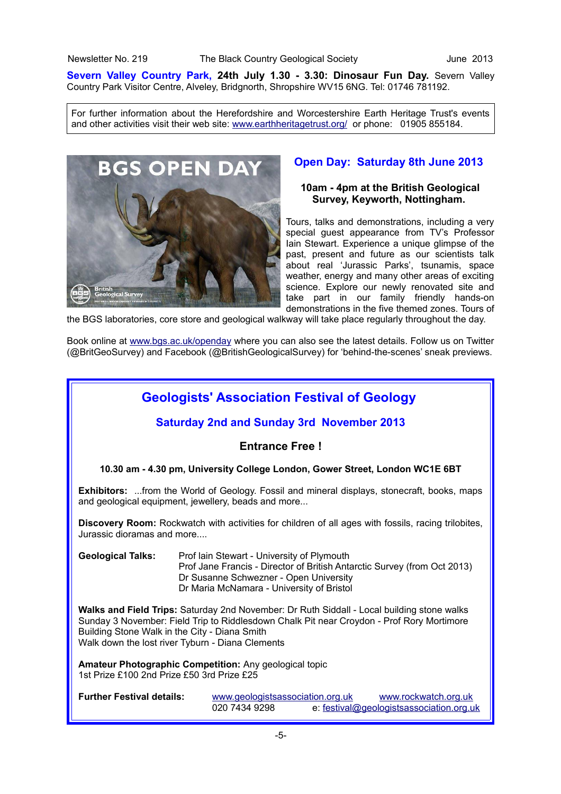**Severn Valley Country Park, 24th July 1.30 - 3.30: Dinosaur Fun Day.** Severn Valley Country Park Visitor Centre, Alveley, Bridgnorth, Shropshire WV15 6NG. Tel: 01746 781192.

For further information about the Herefordshire and Worcestershire Earth Heritage Trust's events and other activities visit their web site: [www.earthheritagetrust.org/](http://www.earthheritagetrust.org/) or phone: 01905 855184.



### **Open Day: Saturday 8th June 2013**

#### **10am - 4pm at the British Geological Survey, Keyworth, Nottingham.**

Tours, talks and demonstrations, including a very special guest appearance from TV's Professor Iain Stewart. Experience a unique glimpse of the past, present and future as our scientists talk about real 'Jurassic Parks', tsunamis, space weather, energy and many other areas of exciting science. Explore our newly renovated site and take part in our family friendly hands-on demonstrations in the five themed zones. Tours of

the BGS laboratories, core store and geological walkway will take place regularly throughout the day.

Book online at [www.bgs.ac.uk/openday](http://www.bgs.ac.uk/openday) where you can also see the latest details. Follow us on Twitter (@BritGeoSurvey) and Facebook (@BritishGeologicalSurvey) for 'behind-the-scenes' sneak previews.

## -5- **Geologists' Association Festival of Geology Saturday 2nd and Sunday 3rd November 2013 Entrance Free ! 10.30 am - 4.30 pm, University College London, Gower Street, London WC1E 6BT Exhibitors:** ...from the World of Geology. Fossil and mineral displays, stonecraft, books, maps and geological equipment, jewellery, beads and more... **Discovery Room:** Rockwatch with activities for children of all ages with fossils, racing trilobites, Jurassic dioramas and more.... **Geological Talks:** Prof lain Stewart - University of Plymouth Prof Jane Francis - Director of British Antarctic Survey (from Oct 2013) Dr Susanne Schwezner - Open University Dr Maria McNamara - University of Bristol **Walks and Field Trips:** Saturday 2nd November: Dr Ruth Siddall - Local building stone walks Sunday 3 November: Field Trip to Riddlesdown Chalk Pit near Croydon - Prof Rory Mortimore Building Stone Walk in the City - Diana Smith Walk down the lost river Tyburn - Diana Clements **Amateur Photographic Competition:** Any geological topic 1st Prize £100 2nd Prize £50 3rd Prize £25 **Further Festival details:** [www.geologistsassociation.org.uk](http://www.geologistsassociation.org.uk/) [www.rockwatch.org.uk](http://www.rockwatch.org.uk/) 020 7434 9298 e: [festival@geologistsassociation.org.uk](mailto:festival@geologistsassociation.org.uk)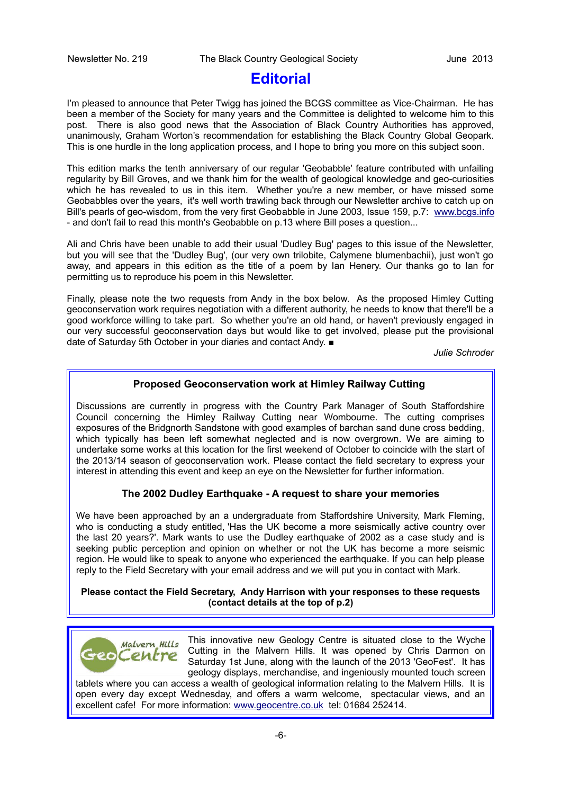## **Editorial**

I'm pleased to announce that Peter Twigg has joined the BCGS committee as Vice-Chairman. He has been a member of the Society for many years and the Committee is delighted to welcome him to this post. There is also good news that the Association of Black Country Authorities has approved, unanimously, Graham Worton's recommendation for establishing the Black Country Global Geopark. This is one hurdle in the long application process, and I hope to bring you more on this subject soon.

This edition marks the tenth anniversary of our regular 'Geobabble' feature contributed with unfailing regularity by Bill Groves, and we thank him for the wealth of geological knowledge and geo-curiosities which he has revealed to us in this item. Whether you're a new member, or have missed some Geobabbles over the years, it's well worth trawling back through our Newsletter archive to catch up on Bill's pearls of geo-wisdom, from the very first Geobabble in June 2003, Issue 159, p.7: [www.bcgs.info](http://www.bcgs.info/) - and don't fail to read this month's Geobabble on p.13 where Bill poses a question...

Ali and Chris have been unable to add their usual 'Dudley Bug' pages to this issue of the Newsletter, but you will see that the 'Dudley Bug', (our very own trilobite, Calymene blumenbachii), just won't go away, and appears in this edition as the title of a poem by Ian Henery. Our thanks go to Ian for permitting us to reproduce his poem in this Newsletter.

Finally, please note the two requests from Andy in the box below. As the proposed Himley Cutting geoconservation work requires negotiation with a different authority, he needs to know that there'll be a good workforce willing to take part. So whether you're an old hand, or haven't previously engaged in our very successful geoconservation days but would like to get involved, please put the provisional date of Saturday 5th October in your diaries and contact Andy. ■

*Julie Schroder*

#### **Proposed Geoconservation work at Himley Railway Cutting**

Discussions are currently in progress with the Country Park Manager of South Staffordshire Council concerning the Himley Railway Cutting near Wombourne. The cutting comprises exposures of the Bridgnorth Sandstone with good examples of barchan sand dune cross bedding, which typically has been left somewhat neglected and is now overgrown. We are aiming to undertake some works at this location for the first weekend of October to coincide with the start of the 2013/14 season of geoconservation work. Please contact the field secretary to express your interest in attending this event and keep an eye on the Newsletter for further information.

#### **The 2002 Dudley Earthquake - A request to share your memories**

We have been approached by an a undergraduate from Staffordshire University, Mark Fleming, who is conducting a study entitled, 'Has the UK become a more seismically active country over the last 20 years?'. Mark wants to use the Dudley earthquake of 2002 as a case study and is seeking public perception and opinion on whether or not the UK has become a more seismic region. He would like to speak to anyone who experienced the earthquake. If you can help please reply to the Field Secretary with your email address and we will put you in contact with Mark.

#### **Please contact the Field Secretary, Andy Harrison with your responses to these requests (contact details at the top of p.2)**



This innovative new Geology Centre is situated close to the Wyche Cutting in the Malvern Hills. It was opened by Chris Darmon on Saturday 1st June, along with the launch of the 2013 'GeoFest'. It has geology displays, merchandise, and ingeniously mounted touch screen

tablets where you can access a wealth of geological information relating to the Malvern Hills. It is open every day except Wednesday, and offers a warm welcome, spectacular views, and an excellent cafe! For more information: [www.geocentre.co.uk](http://www.geocentre.co.uk/) tel: 01684 252414.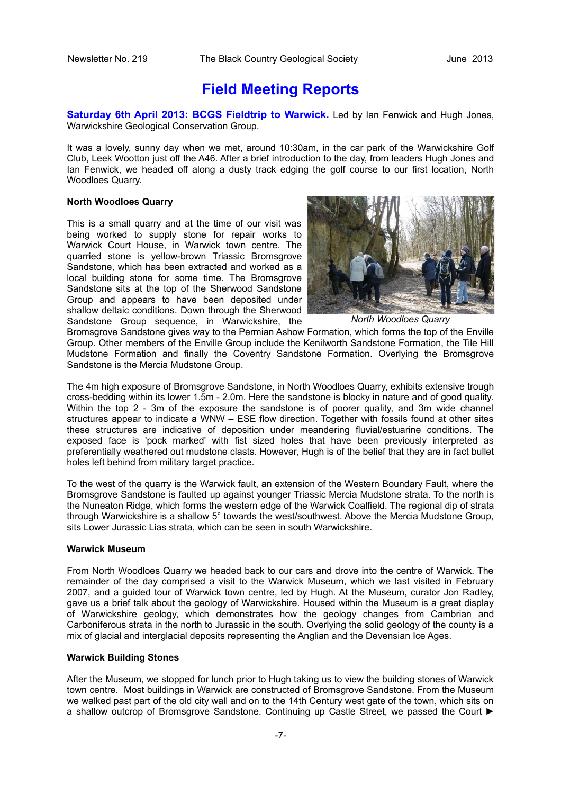## **Field Meeting Reports**

**Saturday 6th April 2013: BCGS Fieldtrip to Warwick.** Led by Ian Fenwick and Hugh Jones, Warwickshire Geological Conservation Group.

It was a lovely, sunny day when we met, around 10:30am, in the car park of the Warwickshire Golf Club, Leek Wootton just off the A46. After a brief introduction to the day, from leaders Hugh Jones and Ian Fenwick, we headed off along a dusty track edging the golf course to our first location, North Woodloes Quarry.

#### **North Woodloes Quarry**

This is a small quarry and at the time of our visit was being worked to supply stone for repair works to Warwick Court House, in Warwick town centre. The quarried stone is yellow-brown Triassic Bromsgrove Sandstone, which has been extracted and worked as a local building stone for some time. The Bromsgrove Sandstone sits at the top of the Sherwood Sandstone Group and appears to have been deposited under shallow deltaic conditions. Down through the Sherwood Sandstone Group sequence, in Warwickshire, the



*North Woodloes Quarry*

Bromsgrove Sandstone gives way to the Permian Ashow Formation, which forms the top of the Enville Group. Other members of the Enville Group include the Kenilworth Sandstone Formation, the Tile Hill Mudstone Formation and finally the Coventry Sandstone Formation. Overlying the Bromsgrove Sandstone is the Mercia Mudstone Group.

The 4m high exposure of Bromsgrove Sandstone, in North Woodloes Quarry, exhibits extensive trough cross-bedding within its lower 1.5m - 2.0m. Here the sandstone is blocky in nature and of good quality. Within the top 2 - 3m of the exposure the sandstone is of poorer quality, and 3m wide channel structures appear to indicate a WNW – ESE flow direction. Together with fossils found at other sites these structures are indicative of deposition under meandering fluvial/estuarine conditions. The exposed face is 'pock marked' with fist sized holes that have been previously interpreted as preferentially weathered out mudstone clasts. However, Hugh is of the belief that they are in fact bullet holes left behind from military target practice.

To the west of the quarry is the Warwick fault, an extension of the Western Boundary Fault, where the Bromsgrove Sandstone is faulted up against younger Triassic Mercia Mudstone strata. To the north is the Nuneaton Ridge, which forms the western edge of the Warwick Coalfield. The regional dip of strata through Warwickshire is a shallow 5° towards the west/southwest. Above the Mercia Mudstone Group, sits Lower Jurassic Lias strata, which can be seen in south Warwickshire.

#### **Warwick Museum**

From North Woodloes Quarry we headed back to our cars and drove into the centre of Warwick. The remainder of the day comprised a visit to the Warwick Museum, which we last visited in February 2007, and a guided tour of Warwick town centre, led by Hugh. At the Museum, curator Jon Radley, gave us a brief talk about the geology of Warwickshire. Housed within the Museum is a great display of Warwickshire geology, which demonstrates how the geology changes from Cambrian and Carboniferous strata in the north to Jurassic in the south. Overlying the solid geology of the county is a mix of glacial and interglacial deposits representing the Anglian and the Devensian Ice Ages.

#### **Warwick Building Stones**

After the Museum, we stopped for lunch prior to Hugh taking us to view the building stones of Warwick town centre. Most buildings in Warwick are constructed of Bromsgrove Sandstone. From the Museum we walked past part of the old city wall and on to the 14th Century west gate of the town, which sits on a shallow outcrop of Bromsgrove Sandstone. Continuing up Castle Street, we passed the Court ►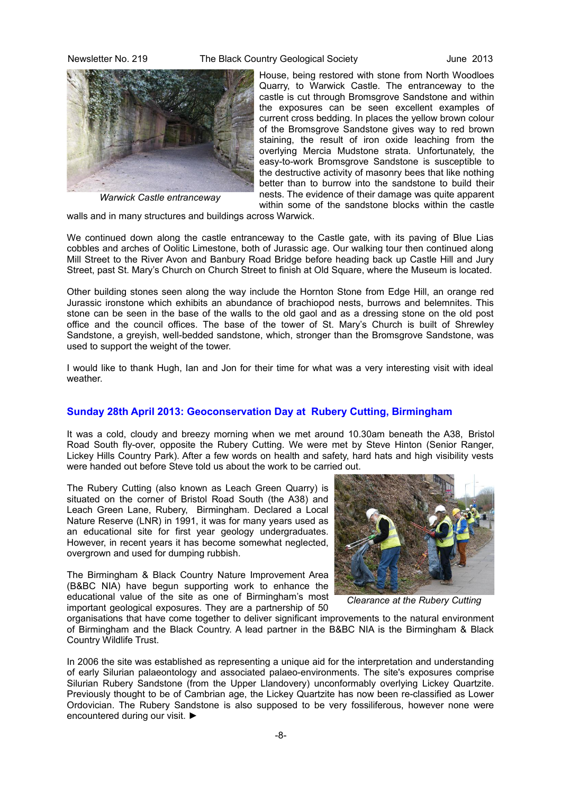Newsletter No. 219 The Black Country Geological Society Funchiller 2013



*Warwick Castle entranceway*

House, being restored with stone from North Woodloes Quarry, to Warwick Castle. The entranceway to the castle is cut through Bromsgrove Sandstone and within the exposures can be seen excellent examples of current cross bedding. In places the yellow brown colour of the Bromsgrove Sandstone gives way to red brown staining, the result of iron oxide leaching from the overlying Mercia Mudstone strata. Unfortunately, the easy-to-work Bromsgrove Sandstone is susceptible to the destructive activity of masonry bees that like nothing better than to burrow into the sandstone to build their nests. The evidence of their damage was quite apparent within some of the sandstone blocks within the castle

walls and in many structures and buildings across Warwick.

We continued down along the castle entranceway to the Castle gate, with its paving of Blue Lias cobbles and arches of Oolitic Limestone, both of Jurassic age. Our walking tour then continued along Mill Street to the River Avon and Banbury Road Bridge before heading back up Castle Hill and Jury Street, past St. Mary's Church on Church Street to finish at Old Square, where the Museum is located.

Other building stones seen along the way include the Hornton Stone from Edge Hill, an orange red Jurassic ironstone which exhibits an abundance of brachiopod nests, burrows and belemnites. This stone can be seen in the base of the walls to the old gaol and as a dressing stone on the old post office and the council offices. The base of the tower of St. Mary's Church is built of Shrewley Sandstone, a greyish, well-bedded sandstone, which, stronger than the Bromsgrove Sandstone, was used to support the weight of the tower.

I would like to thank Hugh, Ian and Jon for their time for what was a very interesting visit with ideal weather.

#### **Sunday 28th April 2013: Geoconservation Day at Rubery Cutting, Birmingham**

It was a cold, cloudy and breezy morning when we met around 10.30am beneath the A38, Bristol Road South fly-over, opposite the Rubery Cutting. We were met by Steve Hinton (Senior Ranger, Lickey Hills Country Park). After a few words on health and safety, hard hats and high visibility vests were handed out before Steve told us about the work to be carried out.

The Rubery Cutting (also known as Leach Green Quarry) is situated on the corner of Bristol Road South (the A38) and Leach Green Lane, Rubery, Birmingham. Declared a Local Nature Reserve (LNR) in 1991, it was for many years used as an educational site for first year geology undergraduates. However, in recent years it has become somewhat neglected, overgrown and used for dumping rubbish.

The Birmingham & Black Country Nature Improvement Area (B&BC NIA) have begun supporting work to enhance the educational value of the site as one of Birmingham's most important geological exposures. They are a partnership of 50



*Clearance at the Rubery Cutting*

organisations that have come together to deliver significant improvements to the natural environment of Birmingham and the Black Country. A lead partner in the B&BC NIA is the Birmingham & Black Country Wildlife Trust.

In 2006 the site was established as representing a unique aid for the interpretation and understanding of early Silurian palaeontology and associated palaeo-environments. The site's exposures comprise Silurian Rubery Sandstone (from the Upper Llandovery) unconformably overlying Lickey Quartzite. Previously thought to be of Cambrian age, the Lickey Quartzite has now been re-classified as Lower Ordovician. The Rubery Sandstone is also supposed to be very fossiliferous, however none were encountered during our visit. ►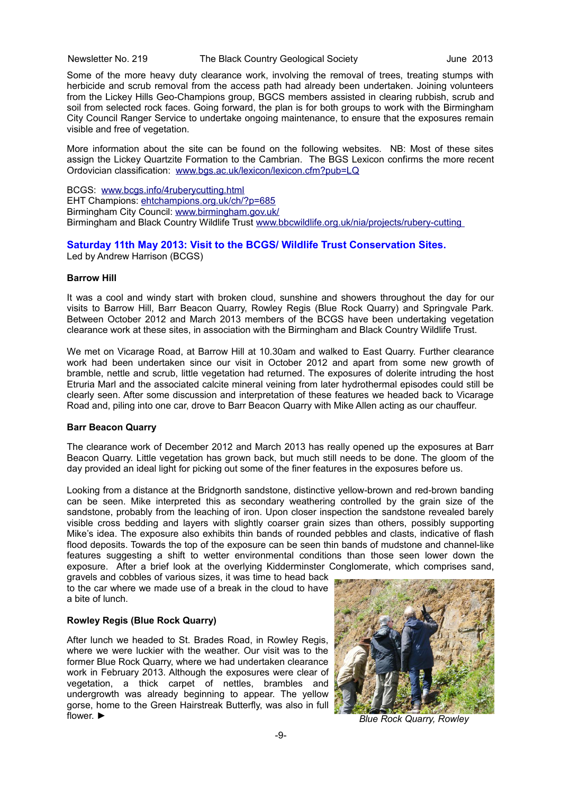#### Newsletter No. 219 The Black Country Geological Society June 2013

Some of the more heavy duty clearance work, involving the removal of trees, treating stumps with herbicide and scrub removal from the access path had already been undertaken. Joining volunteers from the Lickey Hills Geo-Champions group, BGCS members assisted in clearing rubbish, scrub and soil from selected rock faces. Going forward, the plan is for both groups to work with the Birmingham City Council Ranger Service to undertake ongoing maintenance, to ensure that the exposures remain visible and free of vegetation.

More information about the site can be found on the following websites. NB: Most of these sites assign the Lickey Quartzite Formation to the Cambrian. The BGS Lexicon confirms the more recent Ordovician classification: [www.bgs.ac.uk/lexicon/lexicon.cfm?pub=LQ](http://www.bgs.ac.uk/lexicon/lexicon.cfm?pub=LQ)

BCGS: [www.bcgs.info/4ruberycutting.html](http://www.bcgs.info/4ruberycutting.html) EHT Champions: [ehtchampions.org.uk/ch/?p=685](http://ehtchampions.org.uk/ch/?p=685) Birmingham City Council: [www.birmingham.gov.uk/](http://www.birmingham.gov.uk/) Birmingham and Black Country Wildlife Trust [www.bbcwildlife.org.uk/nia/projects/rubery-cutting](http://www.bbcwildlife.org.uk/nia/projects/rubery-cutting%20) 

#### **Saturday 11th May 2013: Visit to the BCGS/ Wildlife Trust Conservation Sites.**

Led by Andrew Harrison (BCGS)

#### **Barrow Hill**

It was a cool and windy start with broken cloud, sunshine and showers throughout the day for our visits to Barrow Hill, Barr Beacon Quarry, Rowley Regis (Blue Rock Quarry) and Springvale Park. Between October 2012 and March 2013 members of the BCGS have been undertaking vegetation clearance work at these sites, in association with the Birmingham and Black Country Wildlife Trust.

We met on Vicarage Road, at Barrow Hill at 10.30am and walked to East Quarry. Further clearance work had been undertaken since our visit in October 2012 and apart from some new growth of bramble, nettle and scrub, little vegetation had returned. The exposures of dolerite intruding the host Etruria Marl and the associated calcite mineral veining from later hydrothermal episodes could still be clearly seen. After some discussion and interpretation of these features we headed back to Vicarage Road and, piling into one car, drove to Barr Beacon Quarry with Mike Allen acting as our chauffeur.

#### **Barr Beacon Quarry**

The clearance work of December 2012 and March 2013 has really opened up the exposures at Barr Beacon Quarry. Little vegetation has grown back, but much still needs to be done. The gloom of the day provided an ideal light for picking out some of the finer features in the exposures before us.

Looking from a distance at the Bridgnorth sandstone, distinctive yellow-brown and red-brown banding can be seen. Mike interpreted this as secondary weathering controlled by the grain size of the sandstone, probably from the leaching of iron. Upon closer inspection the sandstone revealed barely visible cross bedding and layers with slightly coarser grain sizes than others, possibly supporting Mike's idea. The exposure also exhibits thin bands of rounded pebbles and clasts, indicative of flash flood deposits. Towards the top of the exposure can be seen thin bands of mudstone and channel-like features suggesting a shift to wetter environmental conditions than those seen lower down the exposure. After a brief look at the overlying Kidderminster Conglomerate, which comprises sand,

gravels and cobbles of various sizes, it was time to head back to the car where we made use of a break in the cloud to have a bite of lunch.

#### **Rowley Regis (Blue Rock Quarry)**

After lunch we headed to St. Brades Road, in Rowley Regis, where we were luckier with the weather. Our visit was to the former Blue Rock Quarry, where we had undertaken clearance work in February 2013. Although the exposures were clear of vegetation, a thick carpet of nettles, brambles and undergrowth was already beginning to appear. The yellow gorse, home to the Green Hairstreak Butterfly, was also in full flower. ►



*Blue Rock Quarry, Rowley*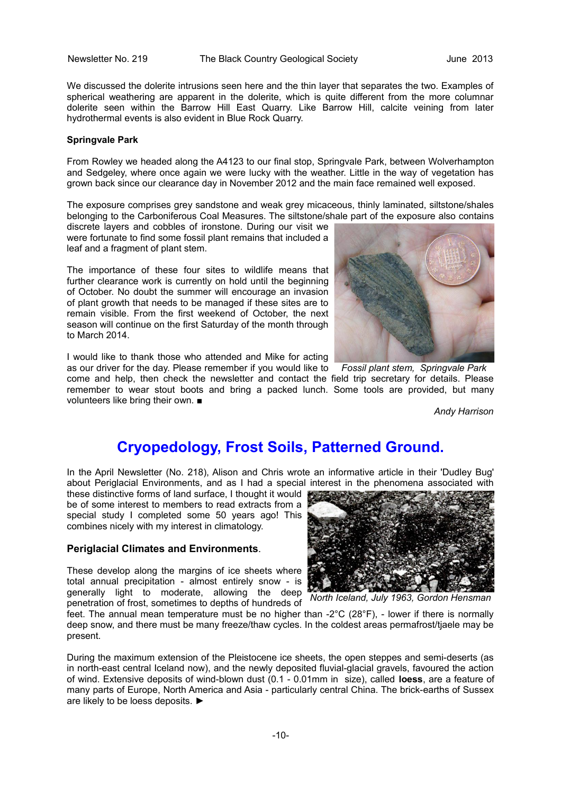We discussed the dolerite intrusions seen here and the thin layer that separates the two. Examples of spherical weathering are apparent in the dolerite, which is quite different from the more columnar dolerite seen within the Barrow Hill East Quarry. Like Barrow Hill, calcite veining from later hydrothermal events is also evident in Blue Rock Quarry.

#### **Springvale Park**

From Rowley we headed along the A4123 to our final stop, Springvale Park, between Wolverhampton and Sedgeley, where once again we were lucky with the weather. Little in the way of vegetation has grown back since our clearance day in November 2012 and the main face remained well exposed.

The exposure comprises grey sandstone and weak grey micaceous, thinly laminated, siltstone/shales belonging to the Carboniferous Coal Measures. The siltstone/shale part of the exposure also contains

discrete layers and cobbles of ironstone. During our visit we were fortunate to find some fossil plant remains that included a leaf and a fragment of plant stem.

The importance of these four sites to wildlife means that further clearance work is currently on hold until the beginning of October. No doubt the summer will encourage an invasion of plant growth that needs to be managed if these sites are to remain visible. From the first weekend of October, the next season will continue on the first Saturday of the month through to March 2014.

I would like to thank those who attended and Mike for acting as our driver for the day. Please remember if you would like to

come and help, then check the newsletter and contact the field trip secretary for details. Please remember to wear stout boots and bring a packed lunch. Some tools are provided, but many volunteers like bring their own. ■ *Fossil plant stem, Springvale Park*

*Andy Harrison*

## **Cryopedology, Frost Soils, Patterned Ground.**

In the April Newsletter (No. 218), Alison and Chris wrote an informative article in their 'Dudley Bug' about Periglacial Environments, and as I had a special interest in the phenomena associated with

these distinctive forms of land surface, I thought it would be of some interest to members to read extracts from a special study I completed some 50 years ago! This combines nicely with my interest in climatology.

#### **Periglacial Climates and Environments**.

These develop along the margins of ice sheets where total annual precipitation - almost entirely snow - is generally light to moderate, allowing the deep penetration of frost, sometimes to depths of hundreds of



*North Iceland, July 1963, Gordon Hensman*

feet. The annual mean temperature must be no higher than -2°C (28°F), - lower if there is normally deep snow, and there must be many freeze/thaw cycles. In the coldest areas permafrost/tjaele may be present.

During the maximum extension of the Pleistocene ice sheets, the open steppes and semi-deserts (as in north-east central Iceland now), and the newly deposited fluvial-glacial gravels, favoured the action of wind. Extensive deposits of wind-blown dust (0.1 - 0.01mm in size), called **loess**, are a feature of many parts of Europe, North America and Asia - particularly central China. The brick-earths of Sussex are likely to be loess deposits. ►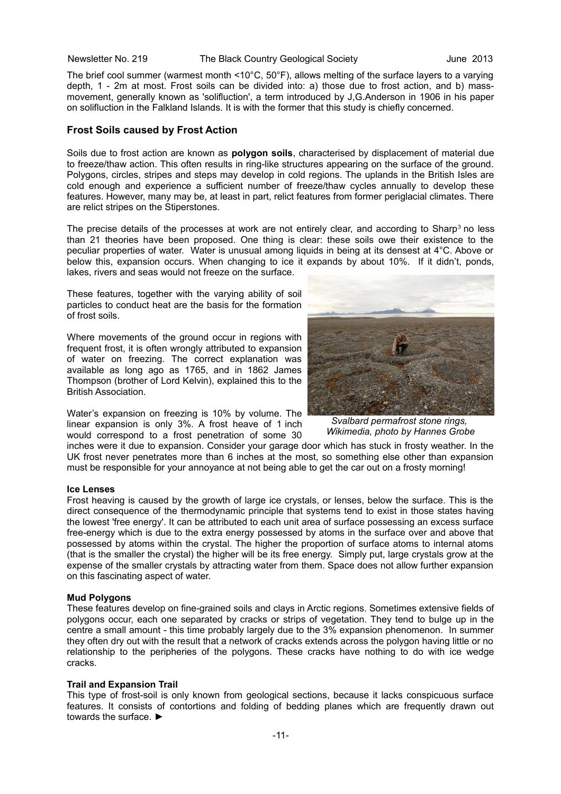The brief cool summer (warmest month <10°C, 50°F), allows melting of the surface layers to a varying depth, 1 - 2m at most. Frost soils can be divided into: a) those due to frost action, and b) massmovement, generally known as 'solifluction', a term introduced by J,G.Anderson in 1906 in his paper on solifluction in the Falkland Islands. It is with the former that this study is chiefly concerned.

#### **Frost Soils caused by Frost Action**

Soils due to frost action are known as **polygon soils**, characterised by displacement of material due to freeze/thaw action. This often results in ring-like structures appearing on the surface of the ground. Polygons, circles, stripes and steps may develop in cold regions. The uplands in the British Isles are cold enough and experience a sufficient number of freeze/thaw cycles annually to develop these features. However, many may be, at least in part, relict features from former periglacial climates. There are relict stripes on the Stiperstones.

The precise details of the processes at work are not entirely clear, and according to Sharp<sup>3</sup> no less than 21 theories have been proposed. One thing is clear: these soils owe their existence to the peculiar properties of water. Water is unusual among liquids in being at its densest at 4°C. Above or below this, expansion occurs. When changing to ice it expands by about 10%. If it didn't, ponds, lakes, rivers and seas would not freeze on the surface.

These features, together with the varying ability of soil particles to conduct heat are the basis for the formation of frost soils.

Where movements of the ground occur in regions with frequent frost, it is often wrongly attributed to expansion of water on freezing. The correct explanation was available as long ago as 1765, and in 1862 James Thompson (brother of Lord Kelvin), explained this to the British Association.

Water's expansion on freezing is 10% by volume. The linear expansion is only 3%. A frost heave of 1 inch would correspond to a frost penetration of some 30



*Svalbard permafrost stone rings, Wikimedia, photo by Hannes Grobe*

inches were it due to expansion. Consider your garage door which has stuck in frosty weather. In the UK frost never penetrates more than 6 inches at the most, so something else other than expansion must be responsible for your annoyance at not being able to get the car out on a frosty morning!

#### **Ice Lenses**

Frost heaving is caused by the growth of large ice crystals, or lenses, below the surface. This is the direct consequence of the thermodynamic principle that systems tend to exist in those states having the lowest 'free energy'. It can be attributed to each unit area of surface possessing an excess surface free-energy which is due to the extra energy possessed by atoms in the surface over and above that possessed by atoms within the crystal. The higher the proportion of surface atoms to internal atoms (that is the smaller the crystal) the higher will be its free energy. Simply put, large crystals grow at the expense of the smaller crystals by attracting water from them. Space does not allow further expansion on this fascinating aspect of water.

#### **Mud Polygons**

These features develop on fine-grained soils and clays in Arctic regions. Sometimes extensive fields of polygons occur, each one separated by cracks or strips of vegetation. They tend to bulge up in the centre a small amount - this time probably largely due to the 3% expansion phenomenon. In summer they often dry out with the result that a network of cracks extends across the polygon having little or no relationship to the peripheries of the polygons. These cracks have nothing to do with ice wedge cracks.

#### **Trail and Expansion Trail**

This type of frost-soil is only known from geological sections, because it lacks conspicuous surface features. It consists of contortions and folding of bedding planes which are frequently drawn out towards the surface. ►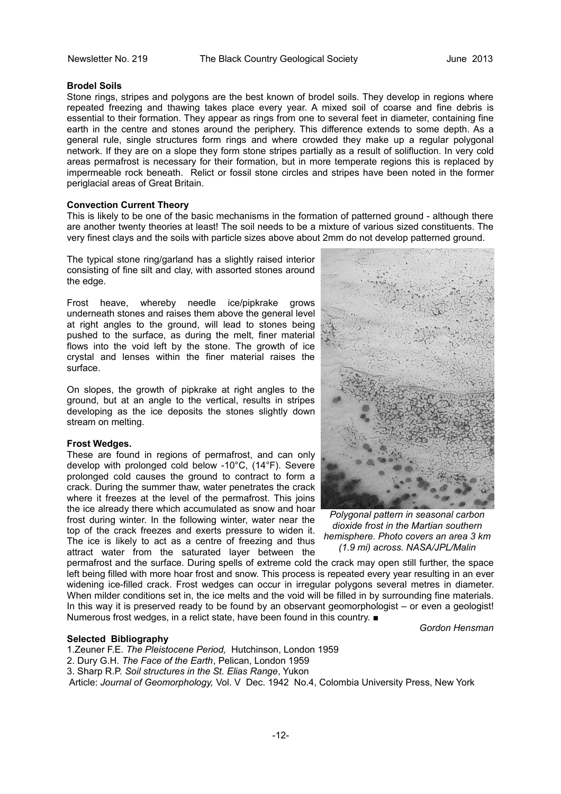#### **Brodel Soils**

Stone rings, stripes and polygons are the best known of brodel soils. They develop in regions where repeated freezing and thawing takes place every year. A mixed soil of coarse and fine debris is essential to their formation. They appear as rings from one to several feet in diameter, containing fine earth in the centre and stones around the periphery. This difference extends to some depth. As a general rule, single structures form rings and where crowded they make up a regular polygonal network. If they are on a slope they form stone stripes partially as a result of solifluction. In very cold areas permafrost is necessary for their formation, but in more temperate regions this is replaced by impermeable rock beneath. Relict or fossil stone circles and stripes have been noted in the former periglacial areas of Great Britain.

#### **Convection Current Theory**

This is likely to be one of the basic mechanisms in the formation of patterned ground - although there are another twenty theories at least! The soil needs to be a mixture of various sized constituents. The very finest clays and the soils with particle sizes above about 2mm do not develop patterned ground.

The typical stone ring/garland has a slightly raised interior consisting of fine silt and clay, with assorted stones around the edge.

Frost heave, whereby needle ice/pipkrake grows underneath stones and raises them above the general level at right angles to the ground, will lead to stones being pushed to the surface, as during the melt, finer material flows into the void left by the stone. The growth of ice crystal and lenses within the finer material raises the surface.

On slopes, the growth of pipkrake at right angles to the ground, but at an angle to the vertical, results in stripes developing as the ice deposits the stones slightly down stream on melting.

#### **Frost Wedges.**

These are found in regions of permafrost, and can only develop with prolonged cold below -10°C, (14°F). Severe prolonged cold causes the ground to contract to form a crack. During the summer thaw, water penetrates the crack where it freezes at the level of the permafrost. This joins the ice already there which accumulated as snow and hoar frost during winter. In the following winter, water near the top of the crack freezes and exerts pressure to widen it. The ice is likely to act as a centre of freezing and thus attract water from the saturated layer between the

*Polygonal pattern in seasonal carbon dioxide frost in the Martian southern hemisphere. Photo covers an area 3 km (1.9 mi) across. NASA/JPL/Malin*

permafrost and the surface. During spells of extreme cold the crack may open still further, the space left being filled with more hoar frost and snow. This process is repeated every year resulting in an ever widening ice-filled crack. Frost wedges can occur in irregular polygons several metres in diameter. When milder conditions set in, the ice melts and the void will be filled in by surrounding fine materials. In this way it is preserved ready to be found by an observant geomorphologist – or even a geologist! Numerous frost wedges, in a relict state, have been found in this country. ■

#### **Selected Bibliography**

1.Zeuner F.E. *The Pleistocene Period,* Hutchinson, London 1959

- 2. Dury G.H. *The Face of the Earth*, Pelican, London 1959
- 3. Sharp R.P. *Soil structures in the St. Elias Range*, Yukon

Article: *Journal of Geomorphology,* Vol. V Dec. 1942 No.4, Colombia University Press, New York

*Gordon Hensman*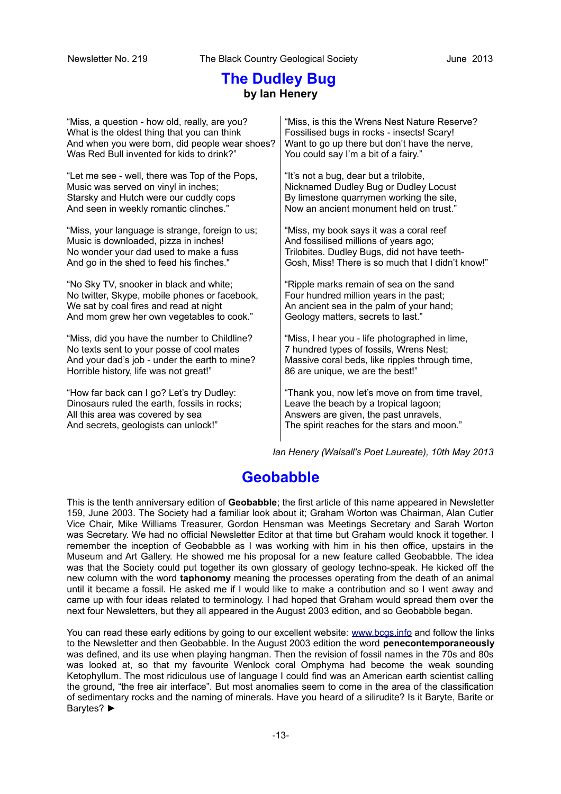## **The Dudley Bug by Ian Henery**

| "Miss, a question - how old, really, are you?   | "Miss, is this the Wrens Nest Nature Reserve?     |
|-------------------------------------------------|---------------------------------------------------|
| What is the oldest thing that you can think     | Fossilised bugs in rocks - insects! Scary!        |
| And when you were born, did people wear shoes?  | Want to go up there but don't have the nerve,     |
| Was Red Bull invented for kids to drink?"       | You could say I'm a bit of a fairy."              |
| "Let me see - well, there was Top of the Pops,  | "It's not a bug, dear but a trilobite,            |
| Music was served on vinyl in inches;            | Nicknamed Dudley Bug or Dudley Locust             |
| Starsky and Hutch were our cuddly cops          | By limestone quarrymen working the site,          |
| And seen in weekly romantic clinches."          | Now an ancient monument held on trust."           |
| "Miss, your language is strange, foreign to us; | "Miss, my book says it was a coral reef           |
| Music is downloaded, pizza in inches!           | And fossilised millions of years ago;             |
| No wonder your dad used to make a fuss          | Trilobites. Dudley Bugs, did not have teeth-      |
| And go in the shed to feed his finches."        | Gosh, Miss! There is so much that I didn't know!" |
| "No Sky TV, snooker in black and white;         | "Ripple marks remain of sea on the sand           |
| No twitter, Skype, mobile phones or facebook,   | Four hundred million years in the past;           |
| We sat by coal fires and read at night          | An ancient sea in the palm of your hand;          |
| And mom grew her own vegetables to cook."       | Geology matters, secrets to last."                |
| "Miss, did you have the number to Childline?    | "Miss, I hear you - life photographed in lime,    |
| No texts sent to your posse of cool mates       | 7 hundred types of fossils, Wrens Nest;           |
| And your dad's job - under the earth to mine?   | Massive coral beds, like ripples through time,    |
| Horrible history, life was not great!"          | 86 are unique, we are the best!"                  |
| "How far back can I go? Let's try Dudley:       | "Thank you, now let's move on from time travel,   |
| Dinosaurs ruled the earth, fossils in rocks;    | Leave the beach by a tropical lagoon;             |
| All this area was covered by sea                | Answers are given, the past unravels,             |
| And secrets, geologists can unlock!"            | The spirit reaches for the stars and moon."       |

*Ian Henery (Walsall's Poet Laureate), 10th May 2013*

## **Geobabble**

This is the tenth anniversary edition of **Geobabble**; the first article of this name appeared in Newsletter 159, June 2003. The Society had a familiar look about it; Graham Worton was Chairman, Alan Cutler Vice Chair, Mike Williams Treasurer, Gordon Hensman was Meetings Secretary and Sarah Worton was Secretary. We had no official Newsletter Editor at that time but Graham would knock it together. I remember the inception of Geobabble as I was working with him in his then office, upstairs in the Museum and Art Gallery. He showed me his proposal for a new feature called Geobabble. The idea was that the Society could put together its own glossary of geology techno-speak. He kicked off the new column with the word **taphonomy** meaning the processes operating from the death of an animal until it became a fossil. He asked me if I would like to make a contribution and so I went away and came up with four ideas related to terminology. I had hoped that Graham would spread them over the next four Newsletters, but they all appeared in the August 2003 edition, and so Geobabble began.

You can read these early editions by going to our excellent website: [www.bcgs.info](http://www.bcgs.info/) and follow the links to the Newsletter and then Geobabble. In the August 2003 edition the word **penecontemporaneously** was defined, and its use when playing hangman. Then the revision of fossil names in the 70s and 80s was looked at, so that my favourite Wenlock coral Omphyma had become the weak sounding Ketophyllum. The most ridiculous use of language I could find was an American earth scientist calling the ground, "the free air interface". But most anomalies seem to come in the area of the classification of sedimentary rocks and the naming of minerals. Have you heard of a silirudite? Is it Baryte, Barite or Barytes? ►